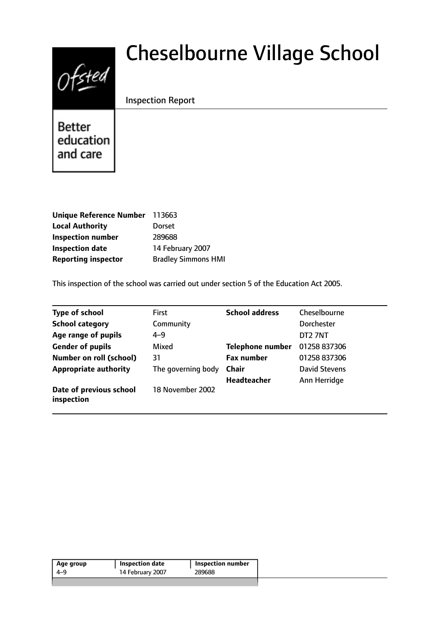# $0$ fsted

# Cheselbourne Village School

# Inspection Report

**Better** education and care

| Unique Reference Number 113663 |
|--------------------------------|
| <b>Dorset</b>                  |
| 289688                         |
| 14 February 2007               |
| <b>Bradley Simmons HMI</b>     |
|                                |

This inspection of the school was carried out under section 5 of the Education Act 2005.

| <b>Type of school</b>                 | <b>First</b>       | <b>School address</b>   | Cheselbourne         |
|---------------------------------------|--------------------|-------------------------|----------------------|
| <b>School category</b>                | Community          |                         | <b>Dorchester</b>    |
| Age range of pupils                   | $4 - 9$            |                         | DT2 7NT              |
| <b>Gender of pupils</b>               | Mixed              | <b>Telephone number</b> | 01258 837306         |
| <b>Number on roll (school)</b>        | 31                 | <b>Fax number</b>       | 01258 837306         |
| <b>Appropriate authority</b>          | The governing body | Chair                   | <b>David Stevens</b> |
|                                       |                    | <b>Headteacher</b>      | Ann Herridge         |
| Date of previous school<br>inspection | 18 November 2002   |                         |                      |

| 289688<br>14 February 2007<br>4-9 | Age group | Inspection date | <b>Inspection number</b> |
|-----------------------------------|-----------|-----------------|--------------------------|
|                                   |           |                 |                          |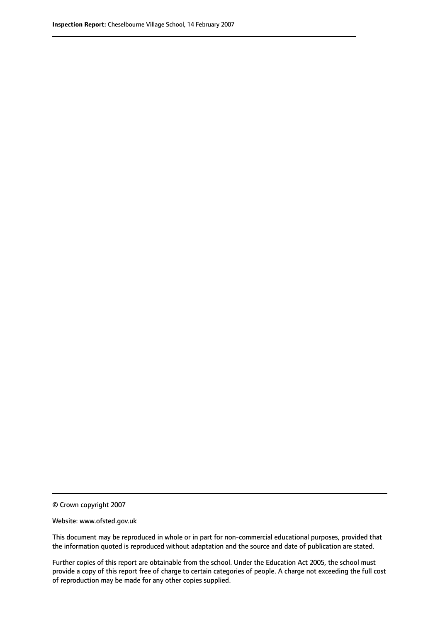© Crown copyright 2007

Website: www.ofsted.gov.uk

This document may be reproduced in whole or in part for non-commercial educational purposes, provided that the information quoted is reproduced without adaptation and the source and date of publication are stated.

Further copies of this report are obtainable from the school. Under the Education Act 2005, the school must provide a copy of this report free of charge to certain categories of people. A charge not exceeding the full cost of reproduction may be made for any other copies supplied.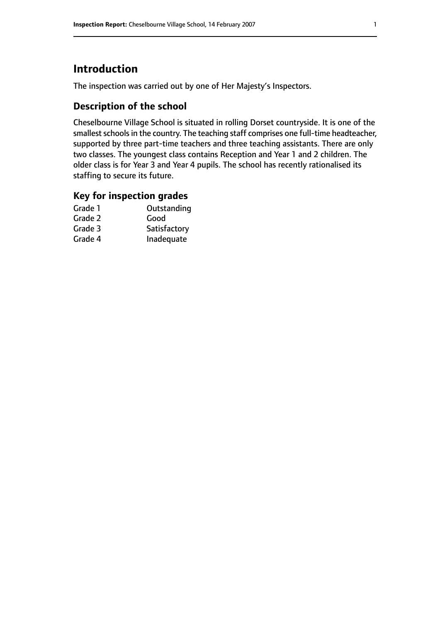# **Introduction**

The inspection was carried out by one of Her Majesty's Inspectors.

## **Description of the school**

Cheselbourne Village School is situated in rolling Dorset countryside. It is one of the smallest schools in the country. The teaching staff comprises one full-time headteacher, supported by three part-time teachers and three teaching assistants. There are only two classes. The youngest class contains Reception and Year 1 and 2 children. The older class is for Year 3 and Year 4 pupils. The school has recently rationalised its staffing to secure its future.

#### **Key for inspection grades**

| Outstanding  |
|--------------|
| Good         |
| Satisfactory |
| Inadequate   |
|              |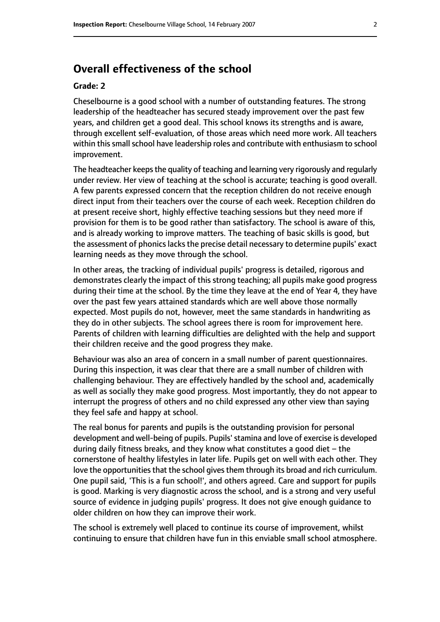# **Overall effectiveness of the school**

#### **Grade: 2**

Cheselbourne is a good school with a number of outstanding features. The strong leadership of the headteacher has secured steady improvement over the past few years, and children get a good deal. This school knows its strengths and is aware, through excellent self-evaluation, of those areas which need more work. All teachers within this small school have leadership roles and contribute with enthusiasm to school improvement.

The headteacher keeps the quality of teaching and learning very rigorously and regularly under review. Her view of teaching at the school is accurate; teaching is good overall. A few parents expressed concern that the reception children do not receive enough direct input from their teachers over the course of each week. Reception children do at present receive short, highly effective teaching sessions but they need more if provision for them is to be good rather than satisfactory. The school is aware of this, and is already working to improve matters. The teaching of basic skills is good, but the assessment of phonics lacks the precise detail necessary to determine pupils' exact learning needs as they move through the school.

In other areas, the tracking of individual pupils' progress is detailed, rigorous and demonstrates clearly the impact of this strong teaching; all pupils make good progress during their time at the school. By the time they leave at the end of Year 4, they have over the past few years attained standards which are well above those normally expected. Most pupils do not, however, meet the same standards in handwriting as they do in other subjects. The school agrees there is room for improvement here. Parents of children with learning difficulties are delighted with the help and support their children receive and the good progress they make.

Behaviour was also an area of concern in a small number of parent questionnaires. During this inspection, it was clear that there are a small number of children with challenging behaviour. They are effectively handled by the school and, academically as well as socially they make good progress. Most importantly, they do not appear to interrupt the progress of others and no child expressed any other view than saying they feel safe and happy at school.

The real bonus for parents and pupils is the outstanding provision for personal development and well-being of pupils. Pupils'stamina and love of exercise is developed during daily fitness breaks, and they know what constitutes a good diet  $-$  the cornerstone of healthy lifestyles in later life. Pupils get on well with each other. They love the opportunities that the school gives them through its broad and rich curriculum. One pupil said, 'This is a fun school!', and others agreed. Care and support for pupils is good. Marking is very diagnostic across the school, and is a strong and very useful source of evidence in judging pupils' progress. It does not give enough guidance to older children on how they can improve their work.

The school is extremely well placed to continue its course of improvement, whilst continuing to ensure that children have fun in this enviable small school atmosphere.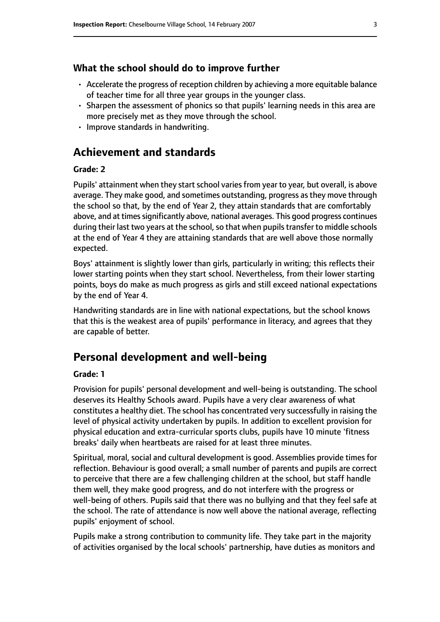#### **What the school should do to improve further**

- Accelerate the progress of reception children by achieving a more equitable balance of teacher time for all three year groups in the younger class.
- Sharpen the assessment of phonics so that pupils' learning needs in this area are more precisely met as they move through the school.
- Improve standards in handwriting.

# **Achievement and standards**

#### **Grade: 2**

Pupils' attainment when they start school varies from year to year, but overall, is above average. They make good, and sometimes outstanding, progress as they move through the school so that, by the end of Year 2, they attain standards that are comfortably above, and at times significantly above, national averages. This good progress continues during their last two years at the school, so that when pupils transfer to middle schools at the end of Year 4 they are attaining standards that are well above those normally expected.

Boys' attainment is slightly lower than girls, particularly in writing; this reflects their lower starting points when they start school. Nevertheless, from their lower starting points, boys do make as much progress as girls and still exceed national expectations by the end of Year 4.

Handwriting standards are in line with national expectations, but the school knows that this is the weakest area of pupils' performance in literacy, and agrees that they are capable of better.

# **Personal development and well-being**

#### **Grade: 1**

Provision for pupils' personal development and well-being is outstanding. The school deserves its Healthy Schools award. Pupils have a very clear awareness of what constitutes a healthy diet. The school has concentrated very successfully in raising the level of physical activity undertaken by pupils. In addition to excellent provision for physical education and extra-curricular sports clubs, pupils have 10 minute 'fitness breaks' daily when heartbeats are raised for at least three minutes.

Spiritual, moral, social and cultural development is good. Assemblies provide times for reflection. Behaviour is good overall; a small number of parents and pupils are correct to perceive that there are a few challenging children at the school, but staff handle them well, they make good progress, and do not interfere with the progress or well-being of others. Pupils said that there was no bullying and that they feel safe at the school. The rate of attendance is now well above the national average, reflecting pupils' enjoyment of school.

Pupils make a strong contribution to community life. They take part in the majority of activities organised by the local schools' partnership, have duties as monitors and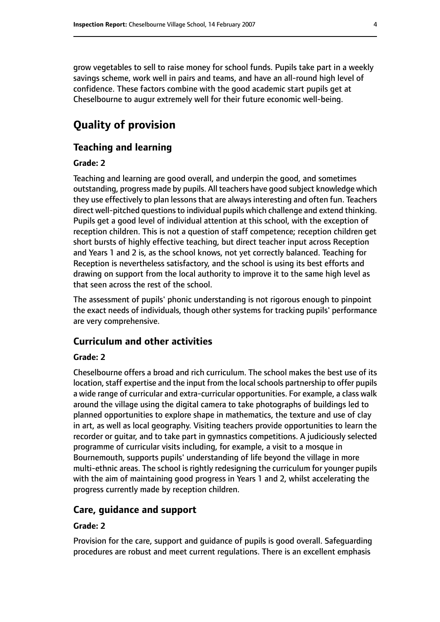grow vegetables to sell to raise money for school funds. Pupils take part in a weekly savings scheme, work well in pairs and teams, and have an all-round high level of confidence. These factors combine with the good academic start pupils get at Cheselbourne to augur extremely well for their future economic well-being.

# **Quality of provision**

#### **Teaching and learning**

#### **Grade: 2**

Teaching and learning are good overall, and underpin the good, and sometimes outstanding, progress made by pupils. All teachers have good subject knowledge which they use effectively to plan lessons that are always interesting and often fun. Teachers direct well-pitched questions to individual pupils which challenge and extend thinking. Pupils get a good level of individual attention at this school, with the exception of reception children. This is not a question of staff competence; reception children get short bursts of highly effective teaching, but direct teacher input across Reception and Years 1 and 2 is, as the school knows, not yet correctly balanced. Teaching for Reception is nevertheless satisfactory, and the school is using its best efforts and drawing on support from the local authority to improve it to the same high level as that seen across the rest of the school.

The assessment of pupils' phonic understanding is not rigorous enough to pinpoint the exact needs of individuals, though other systems for tracking pupils' performance are very comprehensive.

#### **Curriculum and other activities**

#### **Grade: 2**

Cheselbourne offers a broad and rich curriculum. The school makes the best use of its location, staff expertise and the input from the local schools partnership to offer pupils a wide range of curricular and extra-curricular opportunities. For example, a class walk around the village using the digital camera to take photographs of buildings led to planned opportunities to explore shape in mathematics, the texture and use of clay in art, as well as local geography. Visiting teachers provide opportunities to learn the recorder or guitar, and to take part in gymnastics competitions. A judiciously selected programme of curricular visits including, for example, a visit to a mosque in Bournemouth, supports pupils' understanding of life beyond the village in more multi-ethnic areas. The school is rightly redesigning the curriculum for younger pupils with the aim of maintaining good progress in Years 1 and 2, whilst accelerating the progress currently made by reception children.

#### **Care, guidance and support**

#### **Grade: 2**

Provision for the care, support and guidance of pupils is good overall. Safeguarding procedures are robust and meet current regulations. There is an excellent emphasis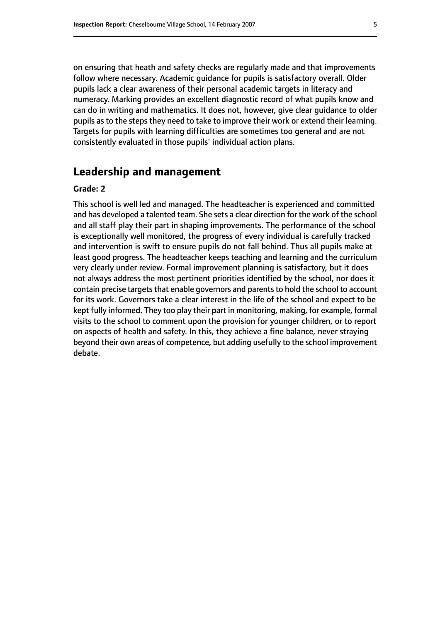on ensuring that heath and safety checks are regularly made and that improvements follow where necessary. Academic guidance for pupils is satisfactory overall. Older pupils lack a clear awareness of their personal academic targets in literacy and numeracy. Marking provides an excellent diagnostic record of what pupils know and can do in writing and mathematics. It does not, however, give clear guidance to older pupils as to the steps they need to take to improve their work or extend their learning. Targets for pupils with learning difficulties are sometimes too general and are not consistently evaluated in those pupils' individual action plans.

# **Leadership and management**

#### **Grade: 2**

This school is well led and managed. The headteacher is experienced and committed and has developed a talented team. She sets a clear direction for the work of the school and all staff play their part in shaping improvements. The performance of the school is exceptionally well monitored, the progress of every individual is carefully tracked and intervention is swift to ensure pupils do not fall behind. Thus all pupils make at least good progress. The headteacher keeps teaching and learning and the curriculum very clearly under review. Formal improvement planning is satisfactory, but it does not always address the most pertinent priorities identified by the school, nor does it contain precise targets that enable governors and parents to hold the school to account for its work. Governors take a clear interest in the life of the school and expect to be kept fully informed. They too play their part in monitoring, making, for example, formal visits to the school to comment upon the provision for younger children, or to report on aspects of health and safety. In this, they achieve a fine balance, never straying beyond their own areas of competence, but adding usefully to the school improvement debate.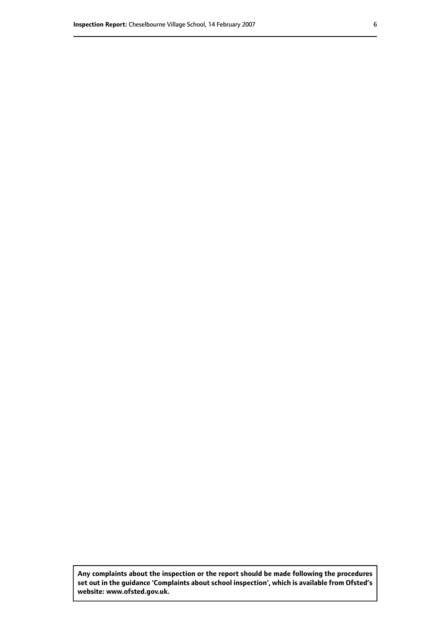**Any complaints about the inspection or the report should be made following the procedures set out inthe guidance 'Complaints about school inspection', whichis available from Ofsted's website: www.ofsted.gov.uk.**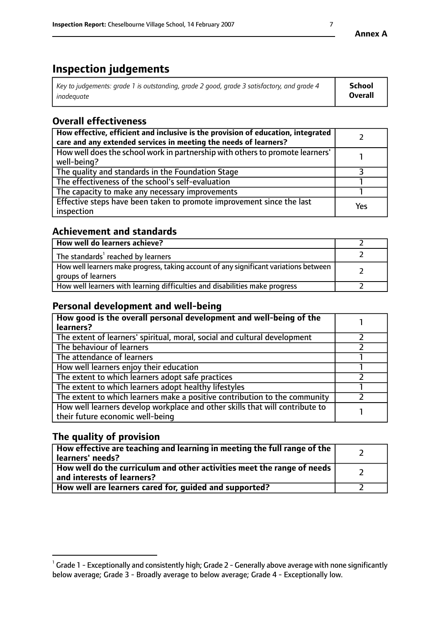# **Inspection judgements**

| Key to judgements: grade 1 is outstanding, grade 2 good, grade 3 satisfactory, and grade 4 | School         |
|--------------------------------------------------------------------------------------------|----------------|
| inadeauate                                                                                 | <b>Overall</b> |

# **Overall effectiveness**

| How effective, efficient and inclusive is the provision of education, integrated<br>care and any extended services in meeting the needs of learners? |     |
|------------------------------------------------------------------------------------------------------------------------------------------------------|-----|
| How well does the school work in partnership with others to promote learners'<br>well-being?                                                         |     |
| The quality and standards in the Foundation Stage                                                                                                    |     |
| The effectiveness of the school's self-evaluation                                                                                                    |     |
| The capacity to make any necessary improvements                                                                                                      |     |
| Effective steps have been taken to promote improvement since the last<br>inspection                                                                  | Yes |

## **Achievement and standards**

| How well do learners achieve?                                                                               |  |
|-------------------------------------------------------------------------------------------------------------|--|
| The standards <sup>1</sup> reached by learners                                                              |  |
| How well learners make progress, taking account of any significant variations between<br>groups of learners |  |
| How well learners with learning difficulties and disabilities make progress                                 |  |

# **Personal development and well-being**

| How good is the overall personal development and well-being of the<br>learners?                                  |  |
|------------------------------------------------------------------------------------------------------------------|--|
| The extent of learners' spiritual, moral, social and cultural development                                        |  |
| The behaviour of learners                                                                                        |  |
| The attendance of learners                                                                                       |  |
| How well learners enjoy their education                                                                          |  |
| The extent to which learners adopt safe practices                                                                |  |
| The extent to which learners adopt healthy lifestyles                                                            |  |
| The extent to which learners make a positive contribution to the community                                       |  |
| How well learners develop workplace and other skills that will contribute to<br>their future economic well-being |  |

# **The quality of provision**

| How effective are teaching and learning in meeting the full range of the<br>learners' needs?          |  |
|-------------------------------------------------------------------------------------------------------|--|
| How well do the curriculum and other activities meet the range of needs<br>and interests of learners? |  |
| How well are learners cared for, guided and supported?                                                |  |

 $^1$  Grade 1 - Exceptionally and consistently high; Grade 2 - Generally above average with none significantly below average; Grade 3 - Broadly average to below average; Grade 4 - Exceptionally low.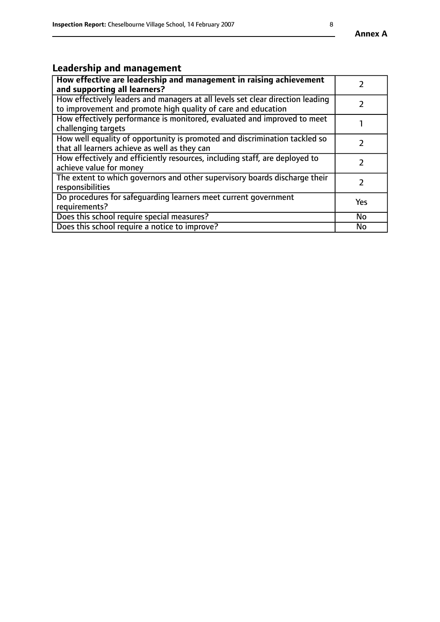# **Leadership and management**

| How effective are leadership and management in raising achievement<br>and supporting all learners?                                              |               |
|-------------------------------------------------------------------------------------------------------------------------------------------------|---------------|
| How effectively leaders and managers at all levels set clear direction leading<br>to improvement and promote high quality of care and education |               |
| How effectively performance is monitored, evaluated and improved to meet<br>challenging targets                                                 |               |
| How well equality of opportunity is promoted and discrimination tackled so<br>that all learners achieve as well as they can                     |               |
| How effectively and efficiently resources, including staff, are deployed to<br>achieve value for money                                          | $\mathcal{P}$ |
| The extent to which governors and other supervisory boards discharge their<br>responsibilities                                                  |               |
| Do procedures for safequarding learners meet current government<br>requirements?                                                                | Yes           |
| Does this school require special measures?                                                                                                      | No            |
| Does this school require a notice to improve?                                                                                                   | <b>No</b>     |